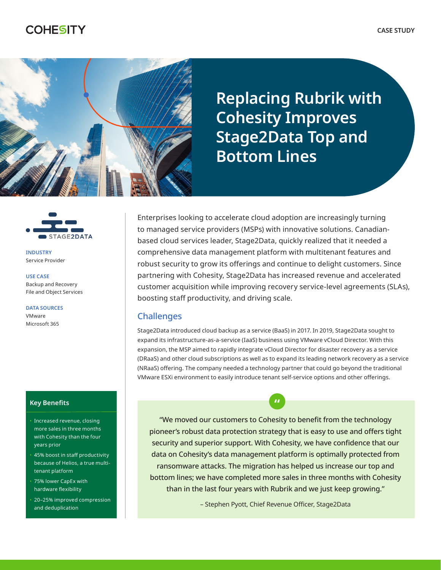# **COHESITY**



**Replacing Rubrik with Cohesity Improves Stage2Data Top and Bottom Lines**



**INDUSTRY** Service Provider

**USE CASE** Backup and Recovery File and Object Services

**DATA SOURCES** VMware Microsoft 365

#### **Key Benefits**

- Increased revenue, closing more sales in three months with Cohesity than the four years prior
- 45% boost in staff productivity because of Helios, a true multitenant platform
- 75% lower CapEx with hardware flexibility
- 20–25% improved compression and deduplication

Enterprises looking to accelerate cloud adoption are increasingly turning to managed service providers (MSPs) with innovative solutions. Canadianbased cloud services leader, Stage2Data, quickly realized that it needed a comprehensive data management platform with multitenant features and robust security to grow its offerings and continue to delight customers. Since partnering with Cohesity, Stage2Data has increased revenue and accelerated customer acquisition while improving recovery service-level agreements (SLAs), boosting staff productivity, and driving scale.

### **Challenges**

Stage2Data introduced cloud backup as a service (BaaS) in 2017. In 2019, Stage2Data sought to expand its infrastructure-as-a-service (IaaS) business using VMware vCloud Director. With this expansion, the MSP aimed to rapidly integrate vCloud Director for disaster recovery as a service (DRaaS) and other cloud subscriptions as well as to expand its leading network recovery as a service (NRaaS) offering. The company needed a technology partner that could go beyond the traditional VMware ESXi environment to easily introduce tenant self-service options and other offerings.

"We moved our customers to Cohesity to benefit from the technology pioneer's robust data protection strategy that is easy to use and offers tight security and superior support. With Cohesity, we have confidence that our data on Cohesity's data management platform is optimally protected from ransomware attacks. The migration has helped us increase our top and bottom lines; we have completed more sales in three months with Cohesity than in the last four years with Rubrik and we just keep growing."

**"**

– Stephen Pyott, Chief Revenue Officer, Stage2Data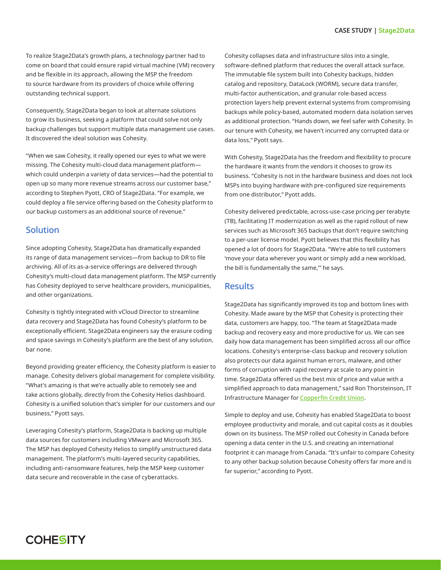To realize Stage2Data's growth plans, a technology partner had to come on board that could ensure rapid virtual machine (VM) recovery and be flexible in its approach, allowing the MSP the freedom to source hardware from its providers of choice while offering outstanding technical support.

Consequently, Stage2Data began to look at alternate solutions to grow its business, seeking a platform that could solve not only backup challenges but support multiple data management use cases. It discovered the ideal solution was Cohesity.

"When we saw Cohesity, it really opened our eyes to what we were missing. The Cohesity multi-cloud data management platform which could underpin a variety of data services—had the potential to open up so many more revenue streams across our customer base," according to Stephen Pyott, CRO of Stage2Data. "For example, we could deploy a file service offering based on the Cohesity platform to our backup customers as an additional source of revenue."

### Solution

Since adopting Cohesity, Stage2Data has dramatically expanded its range of data management services—from backup to DR to file archiving. All of its as-a-service offerings are delivered through Cohesity's multi-cloud data management platform. The MSP currently has Cohesity deployed to serve healthcare providers, municipalities, and other organizations.

Cohesity is tightly integrated with vCloud Director to streamline data recovery and Stage2Data has found Cohesity's platform to be exceptionally efficient. Stage2Data engineers say the erasure coding and space savings in Cohesity's platform are the best of any solution, bar none.

Beyond providing greater efficiency, the Cohesity platform is easier to manage. Cohesity delivers global management for complete visibility. "What's amazing is that we're actually able to remotely see and take actions globally, directly from the Cohesity Helios dashboard. Cohesity is a unified solution that's simpler for our customers and our business," Pyott says.

Leveraging Cohesity's platform, Stage2Data is backing up multiple data sources for customers including VMware and Microsoft 365. The MSP has deployed Cohesity Helios to simplify unstructured data management. The platform's multi-layered security capabilities, including anti-ransomware features, help the MSP keep customer data secure and recoverable in the case of cyberattacks.

Cohesity collapses data and infrastructure silos into a single, software-defined platform that reduces the overall attack surface. The immutable file system built into Cohesity backups, hidden catalog and repository, DataLock (WORM), secure data transfer, multi-factor authentication, and granular role-based access protection layers help prevent external systems from compromising backups while policy-based, automated modern data isolation serves as additional protection. "Hands down, we feel safer with Cohesity. In our tenure with Cohesity, we haven't incurred any corrupted data or data loss," Pyott says.

With Cohesity, Stage2Data has the freedom and flexibility to procure the hardware it wants from the vendors it chooses to grow its business. "Cohesity is not in the hardware business and does not lock MSPs into buying hardware with pre-configured size requirements from one distributor," Pyott adds.

Cohesity delivered predictable, across-use-case pricing per terabyte (TB), facilitating IT modernization as well as the rapid rollout of new services such as Microsoft 365 backups that don't require switching to a per-user license model. Pyott believes that this flexibility has opened a lot of doors for Stage2Data. "We're able to tell customers 'move your data wherever you want or simply add a new workload, the bill is fundamentally the same,'" he says.

## **Results**

Stage2Data has significantly improved its top and bottom lines with Cohesity. Made aware by the MSP that Cohesity is protecting their data, customers are happy, too. "The team at Stage2Data made backup and recovery easy and more productive for us. We can see daily how data management has been simplified across all our office locations. Cohesity's enterprise-class backup and recovery solution also protects our data against human errors, malware, and other forms of corruption with rapid recovery at scale to any point in time. Stage2Data offered us the best mix of price and value with a simplified approach to data management," said Ron Thorsteinson, IT Infrastructure Manager for [Copperfin Credit Union](https://www.stage2data.com/portfolio/case-study-copperfin-credit-union-transforms-backup-and-recovery-operations-with-stage2data-and-cohesity/).

Simple to deploy and use, Cohesity has enabled Stage2Data to boost employee productivity and morale, and cut capital costs as it doubles down on its business. The MSP rolled out Cohesity in Canada before opening a data center in the U.S. and creating an international footprint it can manage from Canada. "It's unfair to compare Cohesity to any other backup solution because Cohesity offers far more and is far superior," according to Pyott.